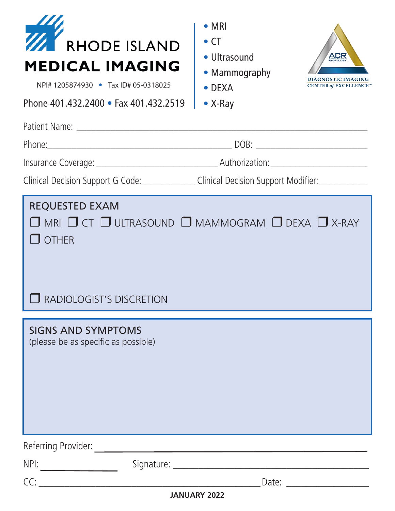| <b>RHODE ISLAND</b><br><b>MEDICAL IMAGING</b><br>NPI# 1205874930 • Tax ID# 05-0318025<br>Phone 401.432.2400 • Fax 401.432.2519 | $\bullet$ MRI<br>$\bullet$ CT<br>· Ultrasound<br>ACR<br>• Mammography<br><b>AGNOSTIC IMAGING</b><br><b>CENTER of EXCELLENCE</b><br>$\bullet$ DEXA<br>$\bullet$ X-Ray |
|--------------------------------------------------------------------------------------------------------------------------------|----------------------------------------------------------------------------------------------------------------------------------------------------------------------|
|                                                                                                                                |                                                                                                                                                                      |
|                                                                                                                                | Clinical Decision Support G Code: ______________Clinical Decision Support Modifier: _____________                                                                    |
| <b>REQUESTED EXAM</b><br>$\Box$ other<br>RADIOLOGIST'S DISCRETION                                                              | $\Box$ MRI $\Box$ CT $\Box$ ULTRASOUND $\Box$ MAMMOGRAM $\Box$ DEXA $\Box$ X-RAY                                                                                     |
| <b>SIGNS AND SYMPTOMS</b><br>(please be as specific as possible)                                                               |                                                                                                                                                                      |
| Referring Provider:                                                                                                            | <u> 1989 - John Harry Harry Harry Harry Harry Harry Harry Harry Harry Harry Harry Harry Harry Harry Harry Harry H</u>                                                |
| NPI:                                                                                                                           |                                                                                                                                                                      |
| $CC:$ and $C.$                                                                                                                 | Date: Date:                                                                                                                                                          |

**JANUARY 2022**